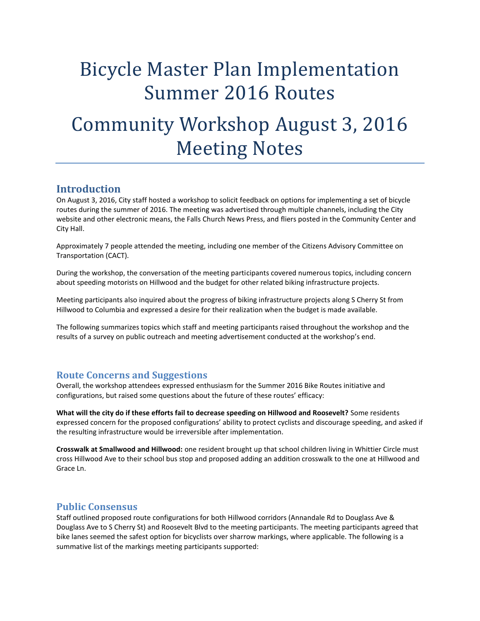# Bicycle Master Plan Implementation Summer 2016 Routes

## Community Workshop August 3, 2016 Meeting Notes

### **Introduction**

On August 3, 2016, City staff hosted a workshop to solicit feedback on options for implementing a set of bicycle routes during the summer of 2016. The meeting was advertised through multiple channels, including the City website and other electronic means, the Falls Church News Press, and fliers posted in the Community Center and City Hall.

Approximately 7 people attended the meeting, including one member of the Citizens Advisory Committee on Transportation (CACT).

During the workshop, the conversation of the meeting participants covered numerous topics, including concern about speeding motorists on Hillwood and the budget for other related biking infrastructure projects.

Meeting participants also inquired about the progress of biking infrastructure projects along S Cherry St from Hillwood to Columbia and expressed a desire for their realization when the budget is made available.

The following summarizes topics which staff and meeting participants raised throughout the workshop and the results of a survey on public outreach and meeting advertisement conducted at the workshop's end.

#### **Route Concerns and Suggestions**

Overall, the workshop attendees expressed enthusiasm for the Summer 2016 Bike Routes initiative and configurations, but raised some questions about the future of these routes' efficacy:

**What will the city do if these efforts fail to decrease speeding on Hillwood and Roosevelt?** Some residents expressed concern for the proposed configurations' ability to protect cyclists and discourage speeding, and asked if the resulting infrastructure would be irreversible after implementation.

**Crosswalk at Smallwood and Hillwood:** one resident brought up that school children living in Whittier Circle must cross Hillwood Ave to their school bus stop and proposed adding an addition crosswalk to the one at Hillwood and Grace Ln.

#### **Public Consensus**

Staff outlined proposed route configurations for both Hillwood corridors (Annandale Rd to Douglass Ave & Douglass Ave to S Cherry St) and Roosevelt Blvd to the meeting participants. The meeting participants agreed that bike lanes seemed the safest option for bicyclists over sharrow markings, where applicable. The following is a summative list of the markings meeting participants supported: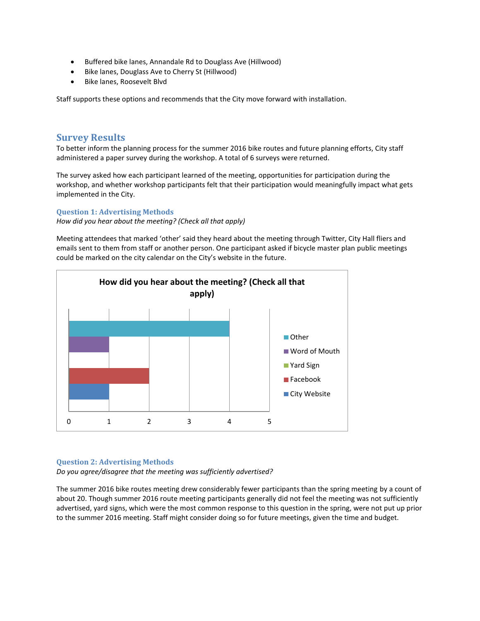- Buffered bike lanes, Annandale Rd to Douglass Ave (Hillwood)
- Bike lanes, Douglass Ave to Cherry St (Hillwood)
- Bike lanes, Roosevelt Blvd

Staff supports these options and recommends that the City move forward with installation.

#### **Survey Results**

To better inform the planning process for the summer 2016 bike routes and future planning efforts, City staff administered a paper survey during the workshop. A total of 6 surveys were returned.

The survey asked how each participant learned of the meeting, opportunities for participation during the workshop, and whether workshop participants felt that their participation would meaningfully impact what gets implemented in the City.

#### **Question 1: Advertising Methods**

*How did you hear about the meeting? (Check all that apply)*

Meeting attendees that marked 'other' said they heard about the meeting through Twitter, City Hall fliers and emails sent to them from staff or another person. One participant asked if bicycle master plan public meetings could be marked on the city calendar on the City's website in the future.



#### **Question 2: Advertising Methods**

*Do you agree/disagree that the meeting was sufficiently advertised?*

The summer 2016 bike routes meeting drew considerably fewer participants than the spring meeting by a count of about 20. Though summer 2016 route meeting participants generally did not feel the meeting was not sufficiently advertised, yard signs, which were the most common response to this question in the spring, were not put up prior to the summer 2016 meeting. Staff might consider doing so for future meetings, given the time and budget.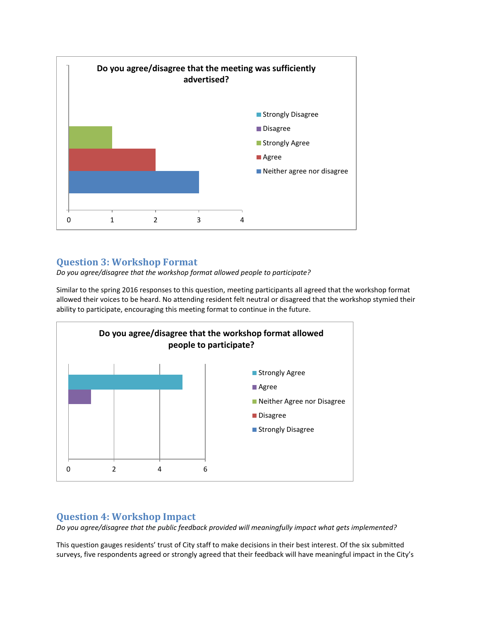

## **Question 3: Workshop Format**

*Do you agree/disagree that the workshop format allowed people to participate?*

Similar to the spring 2016 responses to this question, meeting participants all agreed that the workshop format allowed their voices to be heard. No attending resident felt neutral or disagreed that the workshop stymied their ability to participate, encouraging this meeting format to continue in the future.



#### **Question 4: Workshop Impact**

*Do you agree/disagree that the public feedback provided will meaningfully impact what gets implemented?*

This question gauges residents' trust of City staff to make decisions in their best interest. Of the six submitted surveys, five respondents agreed or strongly agreed that their feedback will have meaningful impact in the City's